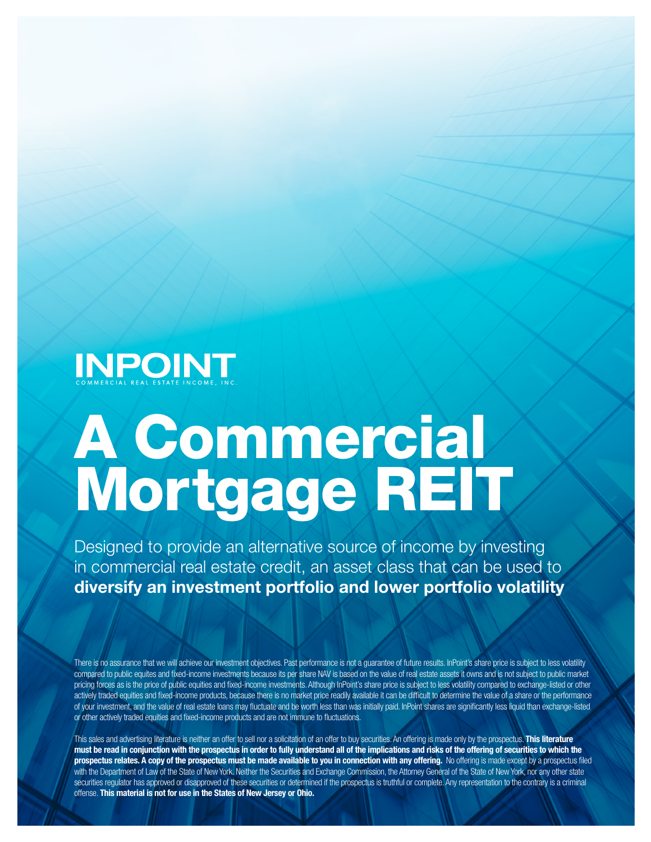

# A Commercial Mortgage REIT

Designed to provide an alternative source of income by investing in commercial real estate credit, an asset class that can be used to diversify an investment portfolio and lower portfolio volatility

There is no assurance that we will achieve our investment objectives. Past performance is not a guarantee of future results. InPoint's share price is subject to less volatility compared to public equites and fixed-income investments because its per share NAV is based on the value of real estate assets it owns and is not subject to public market pricing forces as is the price of public equities and fixed-income investments. Although InPoint's share price is subject to less volatility compared to exchange-listed or other actively traded equities and fixed-income products, because there is no market price readily available it can be difficult to determine the value of a share or the performance of your investment, and the value of real estate loans may fluctuate and be worth less than was initially paid. InPoint shares are significantly less liquid than exchange-listed or other actively traded equities and fixed-income products and are not immune to fluctuations.

This sales and advertising literature is neither an offer to sell nor a solicitation of an offer to buy securities. An offering is made only by the prospectus. This literature must be read in conjunction with the prospectus in order to fully understand all of the implications and risks of the offering of securities to which the prospectus relates. A copy of the prospectus must be made available to you in connection with any offering. No offering is made except by a prospectus filed with the Department of Law of the State of New York. Neither the Securities and Exchange Commission, the Attorney General of the State of New York, nor any other state securities regulator has approved or disapproved of these securities or determined if the prospectus is truthful or complete. Any representation to the contrary is a criminal offense. This material is not for use in the States of New Jersey or Ohio.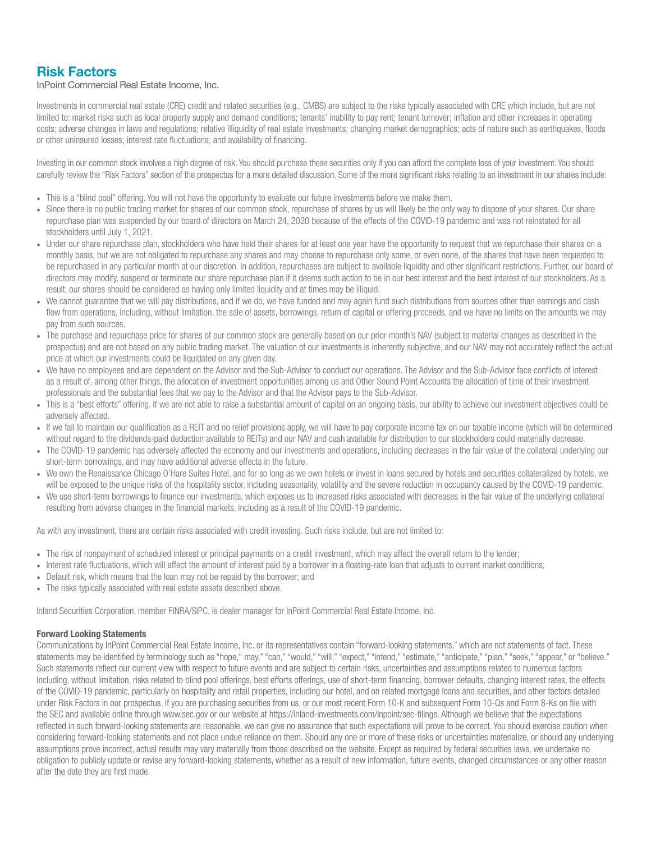## Risk Factors

#### InPoint Commercial Real Estate Income, Inc.

Investments in commercial real estate (CRE) credit and related securities (e.g., CMBS) are subject to the risks typically associated with CRE which include, but are not limited to: market risks such as local property supply and demand conditions; tenants' inability to pay rent; tenant turnover; inflation and other increases in operating costs; adverse changes in laws and regulations; relative illiquidity of real estate investments; changing market demographics; acts of nature such as earthquakes, floods or other uninsured losses; interest rate fluctuations; and availability of financing.

Investing in our common stock involves a high degree of risk. You should purchase these securities only if you can afford the complete loss of your investment. You should carefully review the "Risk Factors" section of the prospectus for a more detailed discussion. Some of the more significant risks relating to an investment in our shares include:

- This is a "blind pool" offering. You will not have the opportunity to evaluate our future investments before we make them.
- Since there is no public trading market for shares of our common stock, repurchase of shares by us will likely be the only way to dispose of your shares. Our share repurchase plan was suspended by our board of directors on March 24, 2020 because of the effects of the COVID-19 pandemic and was not reinstated for all stockholders until July 1, 2021.
- Under our share repurchase plan, stockholders who have held their shares for at least one year have the opportunity to request that we repurchase their shares on a monthly basis, but we are not obligated to repurchase any shares and may choose to repurchase only some, or even none, of the shares that have been requested to be repurchased in any particular month at our discretion. In addition, repurchases are subject to available liquidity and other significant restrictions. Further, our board of directors may modify, suspend or terminate our share repurchase plan if it deems such action to be in our best interest and the best interest of our stockholders. As a result, our shares should be considered as having only limited liquidity and at times may be illiquid.
- We cannot quarantee that we will pay distributions, and if we do, we have funded and may again fund such distributions from sources other than earnings and cash flow from operations, including, without limitation, the sale of assets, borrowings, return of capital or offering proceeds, and we have no limits on the amounts we may pay from such sources.
- The purchase and repurchase price for shares of our common stock are generally based on our prior month's NAV (subject to material changes as described in the prospectus) and are not based on any public trading market. The valuation of our investments is inherently subjective, and our NAV may not accurately reflect the actual price at which our investments could be liquidated on any given day.
- We have no employees and are dependent on the Advisor and the Sub-Advisor to conduct our operations. The Advisor and the Sub-Advisor face conflicts of interest as a result of, among other things, the allocation of investment opportunities among us and Other Sound Point Accounts the allocation of time of their investment professionals and the substantial fees that we pay to the Advisor and that the Advisor pays to the Sub-Advisor.
- This is a "best efforts" offering. If we are not able to raise a substantial amount of capital on an ongoing basis, our ability to achieve our investment objectives could be adversely affected.
- If we fail to maintain our qualification as a REIT and no relief provisions apply, we will have to pay corporate income tax on our taxable income (which will be determined without regard to the dividends-paid deduction available to REITs) and our NAV and cash available for distribution to our stockholders could materially decrease.
- The COVID-19 pandemic has adversely affected the economy and our investments and operations, including decreases in the fair value of the collateral underlying our short-term borrowings, and may have additional adverse effects in the future.
- We own the Renaissance Chicago O'Hare Suites Hotel, and for so long as we own hotels or invest in loans secured by hotels and securities collateralized by hotels, we will be exposed to the unique risks of the hospitality sector, including seasonality, volatility and the severe reduction in occupancy caused by the COVID-19 pandemic.
- We use short-term borrowings to finance our investments, which exposes us to increased risks associated with decreases in the fair value of the underlying collateral resulting from adverse changes in the financial markets, including as a result of the COVID-19 pandemic.

As with any investment, there are certain risks associated with credit investing. Such risks include, but are not limited to:

- The risk of nonpayment of scheduled interest or principal payments on a credit investment, which may affect the overall return to the lender;
- Interest rate fluctuations, which will affect the amount of interest paid by a borrower in a floating-rate loan that adjusts to current market conditions;
- Default risk, which means that the loan may not be repaid by the borrower; and
- The risks typically associated with real estate assets described above.

Inland Securities Corporation, member FINRA/SIPC, is dealer manager for InPoint Commercial Real Estate Income, Inc.

#### Forward Looking Statements

Communications by InPoint Commercial Real Estate Income, Inc. or its representatives contain "forward-looking statements," which are not statements of fact. These statements may be identified by terminology such as "hope," may," "can," "would," "will," "expect," "intend," "estimate," "anticipate," "plan," "seek," "appear," or "believe." Such statements reflect our current view with respect to future events and are subject to certain risks, uncertainties and assumptions related to numerous factors including, without limitation, risks related to blind pool offerings, best efforts offerings, use of short-term financing, borrower defaults, changing interest rates, the effects of the COVID-19 pandemic, particularly on hospitality and retail properties, including our hotel, and on related mortgage loans and securities, and other factors detailed under Risk Factors in our prospectus, if you are purchasing securities from us, or our most recent Form 10-K and subsequent Form 10-Qs and Form 8-Ks on file with the SEC and available online through www.sec.gov or our website at https://inland-investments.com/inpoint/sec-filings. Although we believe that the expectations reflected in such forward-looking statements are reasonable, we can give no assurance that such expectations will prove to be correct. You should exercise caution when considering forward-looking statements and not place undue reliance on them. Should any one or more of these risks or uncertainties materialize, or should any underlying assumptions prove incorrect, actual results may vary materially from those described on the website. Except as required by federal securities laws, we undertake no obligation to publicly update or revise any forward-looking statements, whether as a result of new information, future events, changed circumstances or any other reason after the date they are first made.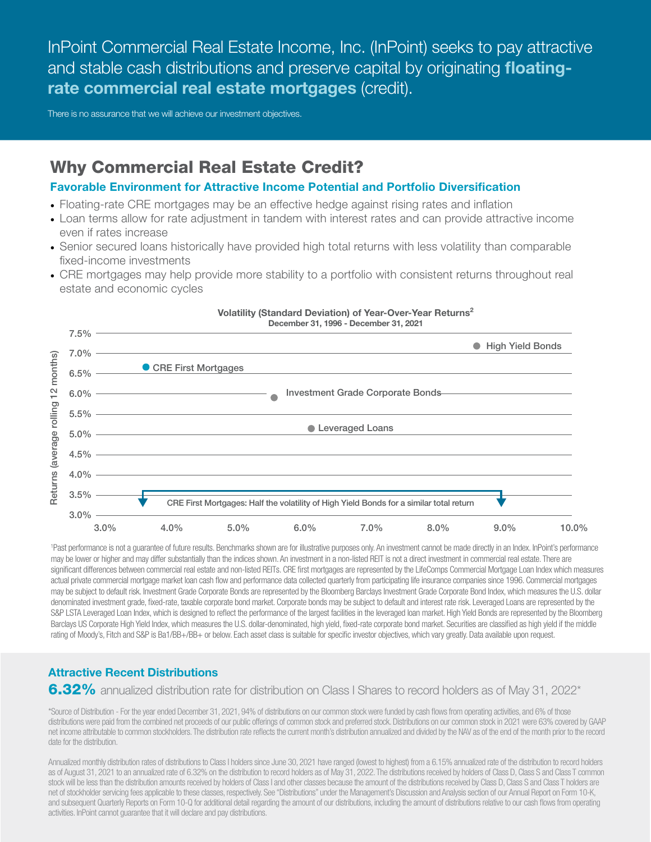InPoint Commercial Real Estate Income, Inc. (InPoint) seeks to pay attractive and stable cash distributions and preserve capital by originating floatingrate commercial real estate mortgages (credit).

There is no assurance that we will achieve our investment objectives.

# Why Commercial Real Estate Credit?

## Favorable Environment for Attractive Income Potential and Portfolio Diversification

- Floating-rate CRE mortgages may be an effective hedge against rising rates and inflation
- Loan terms allow for rate adjustment in tandem with interest rates and can provide attractive income even if rates increase
- Senior secured loans historically have provided high total returns with less volatility than comparable fixed-income investments
- CRE mortgages may help provide more stability to a portfolio with consistent returns throughout real estate and economic cycles



#### Volatility (Standard Deviation) of Year-Over-Year Returns2 December 31, 1996 - December 31, 2021

1 Past performance is not a guarantee of future results. Benchmarks shown are for illustrative purposes only. An investment cannot be made directly in an Index. InPoint's performance may be lower or higher and may differ substantially than the indices shown. An investment in a non-listed REIT is not a direct investment in commercial real estate. There are significant differences between commercial real estate and non-listed REITs. CRE first mortgages are represented by the LifeComps Commercial Mortgage Loan Index which measures actual private commercial mortgage market loan cash flow and performance data collected quarterly from participating life insurance companies since 1996. Commercial mortgages may be subject to default risk. Investment Grade Corporate Bonds are represented by the Bloomberg Barclays Investment Grade Corporate Bond Index, which measures the U.S. dollar denominated investment grade, fixed-rate, taxable corporate bond market. Corporate bonds may be subject to default and interest rate risk. Leveraged Loans are represented by the S&P LSTA Leveraged Loan Index, which is designed to reflect the performance of the largest facilities in the leveraged loan market. High Yield Bonds are represented by the Bloomberg Barclays US Corporate High Yield Index, which measures the U.S. dollar-denominated, high yield, fixed-rate corporate bond market. Securities are classified as high yield if the middle

## Attractive Recent Distributions

6.32% annualized distribution rate for distribution on Class I Shares to record holders as of May 31, 2022<sup>\*</sup>

\*Source of Distribution - For the year ended December 31, 2021, 94% of distributions on our common stock were funded by cash flows from operating activities, and 6% of those distributions were paid from the combined net proceeds of our public offerings of common stock and preferred stock. Distributions on our common stock in 2021 were 63% covered by GAAP net income attributable to common stockholders. The distribution rate reflects the current month's distribution annualized and divided by the NAV as of the end of the month prior to the record date for the distribution.

Annualized monthly distribution rates of distributions to Class I holders since June 30, 2021 have ranged (lowest to highest) from a 6.15% annualized rate of the distribution to record holders as of August 31, 2021 to an annualized rate of 6.32% on the distribution to record holders as of May 31, 2022. The distributions received by holders of Class D, Class S and Class T common stock will be less than the distribution amounts received by holders of Class I and other classes because the amount of the distributions received by Class D, Class S and Class T holders are net of stockholder servicing fees applicable to these classes, respectively. See "Distributions" under the Management's Discussion and Analysis section of our Annual Report on Form 10-K, and subsequent Quarterly Reports on Form 10-Q for additional detail regarding the amount of our distributions, including the amount of distributions relative to our cash flows from operating activities. InPoint cannot guarantee that it will declare and pay distributions.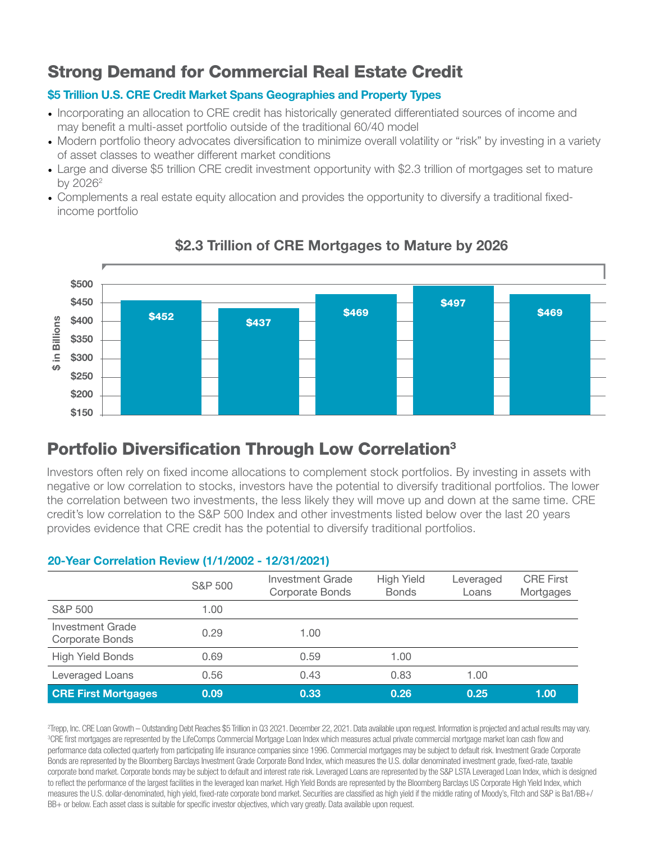# Strong Demand for Commercial Real Estate Credit

## \$5 Trillion U.S. CRE Credit Market Spans Geographies and Property Types

- Incorporating an allocation to CRE credit has historically generated differentiated sources of income and may benefit a multi-asset portfolio outside of the traditional 60/40 model
- Modern portfolio theory advocates diversification to minimize overall volatility or "risk" by investing in a variety of asset classes to weather different market conditions
- Large and diverse \$5 trillion CRE credit investment opportunity with \$2.3 trillion of mortgages set to mature by 2026<sup>2</sup>
- Complements a real estate equity allocation and provides the opportunity to diversify a traditional fixedincome portfolio



## \$2.3 Trillion of CRE Mortgages to Mature by 2026

# Portfolio Diversification Through Low Correlation<sup>3</sup>

Investors often rely on fixed income allocations to complement stock portfolios. By investing in assets with negative or low correlation to stocks, investors have the potential to diversify traditional portfolios. The lower the correlation between two investments, the less likely they will move up and down at the same time. CRE credit's low correlation to the S&P 500 Index and other investments listed below over the last 20 years provides evidence that CRE credit has the potential to diversify traditional portfolios.

## 20-Year Correlation Review (1/1/2002 - 12/31/2021)

|                                     | S&P 500 | Investment Grade<br><b>Corporate Bonds</b> | <b>High Yield</b><br><b>Bonds</b> | Leveraged<br>Loans | <b>CRE First</b><br>Mortgages |
|-------------------------------------|---------|--------------------------------------------|-----------------------------------|--------------------|-------------------------------|
| S&P 500                             | 1.00    |                                            |                                   |                    |                               |
| Investment Grade<br>Corporate Bonds | 0.29    | 1.00                                       |                                   |                    |                               |
| <b>High Yield Bonds</b>             | 0.69    | 0.59                                       | 1.00                              |                    |                               |
| Leveraged Loans                     | 0.56    | 0.43                                       | 0.83                              | 1.00               |                               |
| <b>CRE First Mortgages</b>          | 0.09    | 0.33                                       | 0.26                              | 0.25               | 1.00                          |

2 Trepp, Inc. CRE Loan Growth – Outstanding Debt Reaches \$5 Trillion in Q3 2021. December 22, 2021. Data available upon request. Information is projected and actual results may vary. 3 CRE first mortgages are represented by the LifeComps Commercial Mortgage Loan Index which measures actual private commercial mortgage market loan cash flow and performance data collected quarterly from participating life insurance companies since 1996. Commercial mortgages may be subject to default risk. Investment Grade Corporate Bonds are represented by the Bloomberg Barclays Investment Grade Corporate Bond Index, which measures the U.S. dollar denominated investment grade, fixed-rate, taxable corporate bond market. Corporate bonds may be subject to default and interest rate risk. Leveraged Loans are represented by the S&P LSTA Leveraged Loan Index, which is designed to reflect the performance of the largest facilities in the leveraged loan market. High Yield Bonds are represented by the Bloomberg Barclays US Corporate High Yield Index, which measures the U.S. dollar-denominated, high yield, fixed-rate corporate bond market. Securities are classified as high yield if the middle rating of Moody's, Fitch and S&P is Ba1/BB+/ BB+ or below. Each asset class is suitable for specific investor objectives, which vary greatly. Data available upon request.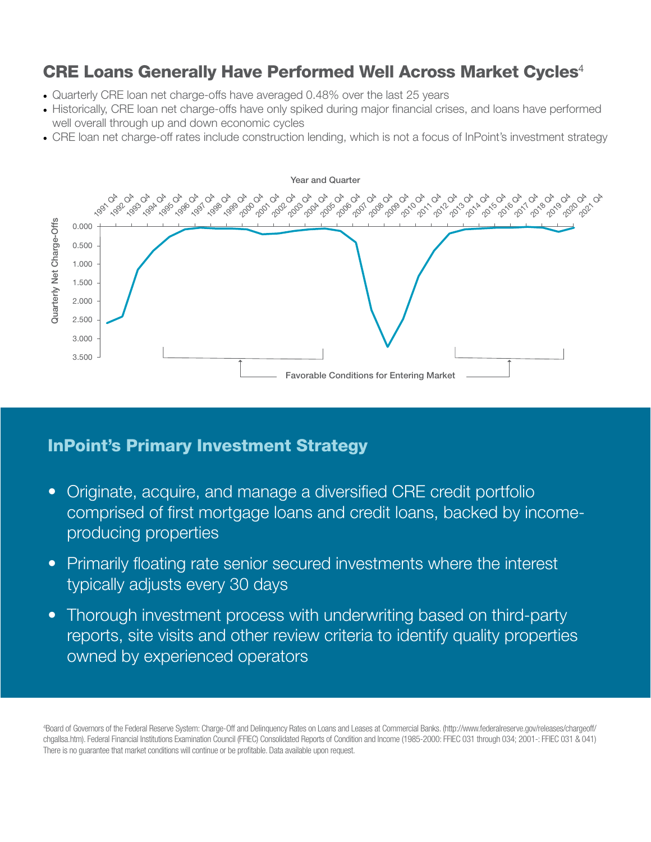# CRE Loans Generally Have Performed Well Across Market Cycles<sup>4</sup>

- Quarterly CRE loan net charge-offs have averaged 0.48% over the last 25 years
- Historically, CRE loan net charge-offs have only spiked during major financial crises, and loans have performed well overall through up and down economic cycles
- CRE loan net charge-off rates include construction lending, which is not a focus of InPoint's investment strategy



# InPoint's Primary Investment Strategy

- Originate, acquire, and manage a diversified CRE credit portfolio comprised of first mortgage loans and credit loans, backed by incomeproducing properties
- Primarily floating rate senior secured investments where the interest typically adjusts every 30 days
- Thorough investment process with underwriting based on third-party reports, site visits and other review criteria to identify quality properties owned by experienced operators

4 Board of Governors of the Federal Reserve System: Charge-Off and Delinquency Rates on Loans and Leases at Commercial Banks. (http://www.federalreserve.gov/releases/chargeoff/ chgallsa.htm). Federal Financial Institutions Examination Council (FFIEC) Consolidated Reports of Condition and Income (1985-2000: FFIEC 031 through 034; 2001-: FFIEC 031 & 041) There is no guarantee that market conditions will continue or be profitable. Data available upon request.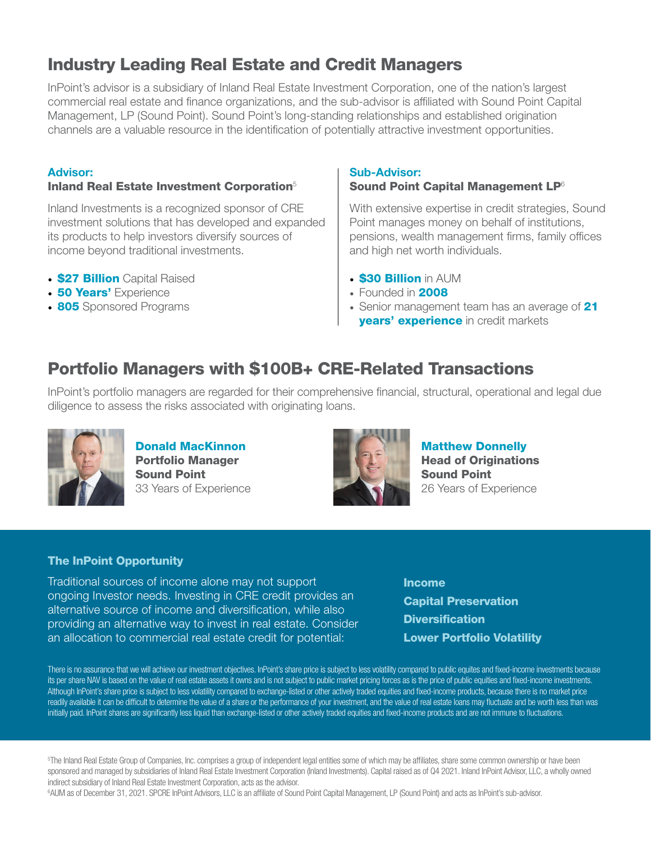# Industry Leading Real Estate and Credit Managers

InPoint's advisor is a subsidiary of Inland Real Estate Investment Corporation, one of the nation's largest commercial real estate and finance organizations, and the sub-advisor is affiliated with Sound Point Capital Management, LP (Sound Point). Sound Point's long-standing relationships and established origination channels are a valuable resource in the identification of potentially attractive investment opportunities.

## Advisor:

## Inland Real Estate Investment Corporation<sup>5</sup>

Inland Investments is a recognized sponsor of CRE investment solutions that has developed and expanded its products to help investors diversify sources of income beyond traditional investments.

- **\$27 Billion** Capital Raised
- **50 Years'** Experience
- 805 Sponsored Programs

#### Sub-Advisor:

### Sound Point Capital Management LP<sup>6</sup>

With extensive expertise in credit strategies, Sound Point manages money on behalf of institutions, pensions, wealth management firms, family offices and high net worth individuals.

- **\$30 Billion** in AUM
- Founded in **2008**
- Senior management team has an average of 21 **years' experience** in credit markets

# Portfolio Managers with \$100B+ CRE-Related Transactions

InPoint's portfolio managers are regarded for their comprehensive financial, structural, operational and legal due diligence to assess the risks associated with originating loans.



Donald MacKinnon Portfolio Manager Sound Point 33 Years of Experience



Matthew Donnelly **Head of Originations** Sound Point 26 Years of Experience

## The InPoint Opportunity

Traditional sources of income alone may not support ongoing Investor needs. Investing in CRE credit provides an alternative source of income and diversification, while also providing an alternative way to invest in real estate. Consider an allocation to commercial real estate credit for potential:

Income Capital Preservation **Diversification** Lower Portfolio Volatility

There is no assurance that we will achieve our investment objectives. InPoint's share price is subject to less volatility compared to public equites and fixed-income investments because its per share NAV is based on the value of real estate assets it owns and is not subject to public market pricing forces as is the price of public equities and fixed-income investments. Although InPoint's share price is subject to less volatility compared to exchange-listed or other actively traded equities and fixed-income products, because there is no market price readily available it can be difficult to determine the value of a share or the performance of your investment, and the value of real estate loans may fluctuate and be worth less than was initially paid. InPoint shares are significantly less liquid than exchange-listed or other actively traded equities and fixed-income products and are not immune to fluctuations.

5 The Inland Real Estate Group of Companies, Inc. comprises a group of independent legal entities some of which may be affiliates, share some common ownership or have been sponsored and managed by subsidiaries of Inland Real Estate Investment Corporation (Inland Investments). Capital raised as of Q4 2021. Inland InPoint Advisor, LLC, a wholly owned indirect subsidiary of Inland Real Estate Investment Corporation, acts as the advisor.

6 AUM as of December 31, 2021. SPCRE InPoint Advisors, LLC is an affiliate of Sound Point Capital Management, LP (Sound Point) and acts as InPoint's sub-advisor.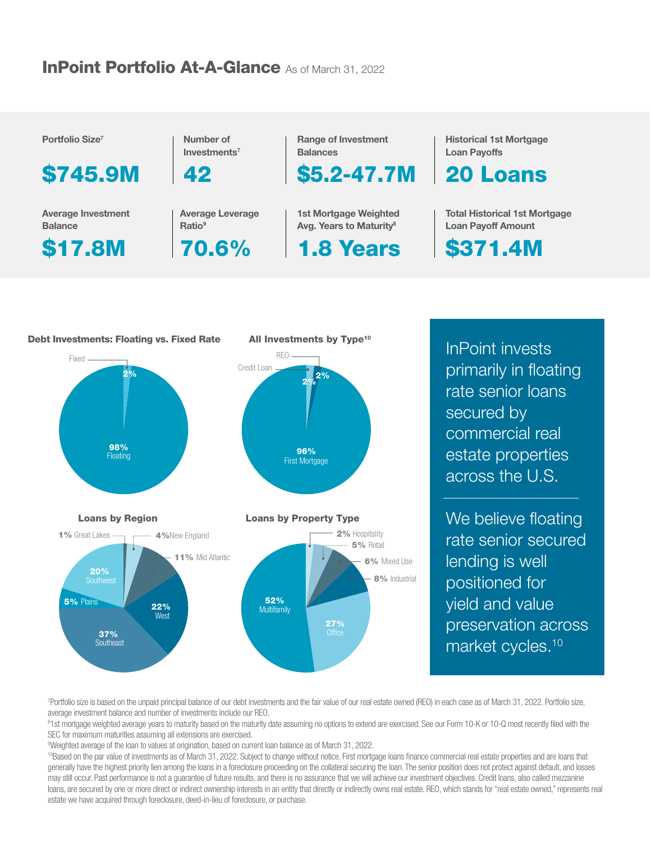# **InPoint Portfolio At-A-Glance As of March 31, 2022**

Portfolio Size7

\$745.9M

Average Investment **Balance** 

\$17.8M

Number of Investments7

42

Average Leverage Ratio<sup>9</sup>

70.6%

Range of Investment **Balances** 

\$5.2-47.7M

1st Mortgage Weighted Avg. Years to Maturity<sup>8</sup>

1.8 Years

Historical 1st Mortgage Loan Payoffs

20 Loans

**Total Historical 1st Mortgage** Loan Payoff Amount

\$371.4M



InPoint invests primarily in floating rate senior loans secured by commercial real estate properties across the U.S.

We believe floating rate senior secured lending is well positioned for yield and value preservation across market cycles.<sup>10</sup>

7 Portfolio size is based on the unpaid principal balance of our debt investments and the fair value of our real estate owned (REO) in each case as of March 31, 2022. Portfolio size, average investment balance and number of investments include our REO.

<sup>8</sup>1st mortgage weighted average years to maturity based on the maturity date assuming no options to extend are exercised. See our Form 10-K or 10-Q most recently filed with the SEC for maximum maturities assuming all extensions are exercised.

9 Weighted average of the loan to values at origination, based on current loan balance as of March 31, 2022.

<sup>10</sup>Based on the par value of investments as of March 31, 2022. Subject to change without notice. First mortgage loans finance commercial real estate properties and are loans that generally have the highest priority lien among the loans in a foreclosure proceeding on the collateral securing the loan. The senior position does not protect against default, and losses may still occur. Past performance is not a guarantee of future results, and there is no assurance that we will achieve our investment objectives. Credit loans, also called mezzanine loans, are secured by one or more direct or indirect ownership interests in an entity that directly or indirectly owns real estate. REO, which stands for "real estate owned," represents real estate we have acquired through foreclosure, deed-in-lieu of foreclosure, or purchase.